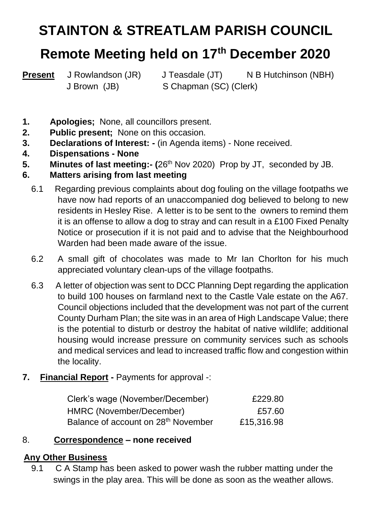# **STAINTON & STREATLAM PARISH COUNCIL**

## **Remote Meeting held on 17th December 2020**

**Present** J Rowlandson (JR) J Teasdale (JT) N B Hutchinson (NBH) J Brown (JB) S Chapman (SC) (Clerk)

- **1. Apologies;** None, all councillors present.
- **2. Public present;** None on this occasion.
- **3. Declarations of Interest: -** (in Agenda items) None received.
- **4. Dispensations - None**
- **5.** Minutes of last meeting:- (26<sup>th</sup> Nov 2020) Prop by JT, seconded by JB.
- **6. Matters arising from last meeting** 
	- 6.1 Regarding previous complaints about dog fouling on the village footpaths we have now had reports of an unaccompanied dog believed to belong to new residents in Hesley Rise. A letter is to be sent to the owners to remind them it is an offense to allow a dog to stray and can result in a £100 Fixed Penalty Notice or prosecution if it is not paid and to advise that the Neighbourhood Warden had been made aware of the issue.
	- 6.2 A small gift of chocolates was made to Mr Ian Chorlton for his much appreciated voluntary clean-ups of the village footpaths.
	- 6.3 A letter of objection was sent to DCC Planning Dept regarding the application to build 100 houses on farmland next to the Castle Vale estate on the A67. Council objections included that the development was not part of the current County Durham Plan; the site was in an area of High Landscape Value; there is the potential to disturb or destroy the habitat of native wildlife; additional housing would increase pressure on community services such as schools and medical services and lead to increased traffic flow and congestion within the locality.
- **7. Financial Report -** Payments for approval -:

| Clerk's wage (November/December)                | £229.80    |
|-------------------------------------------------|------------|
| HMRC (November/December)                        | £57.60     |
| Balance of account on 28 <sup>th</sup> November | £15,316.98 |

### 8. **Correspondence – none received**

#### **9. Any Other Business**

9.1 C A Stamp has been asked to power wash the rubber matting under the swings in the play area. This will be done as soon as the weather allows.